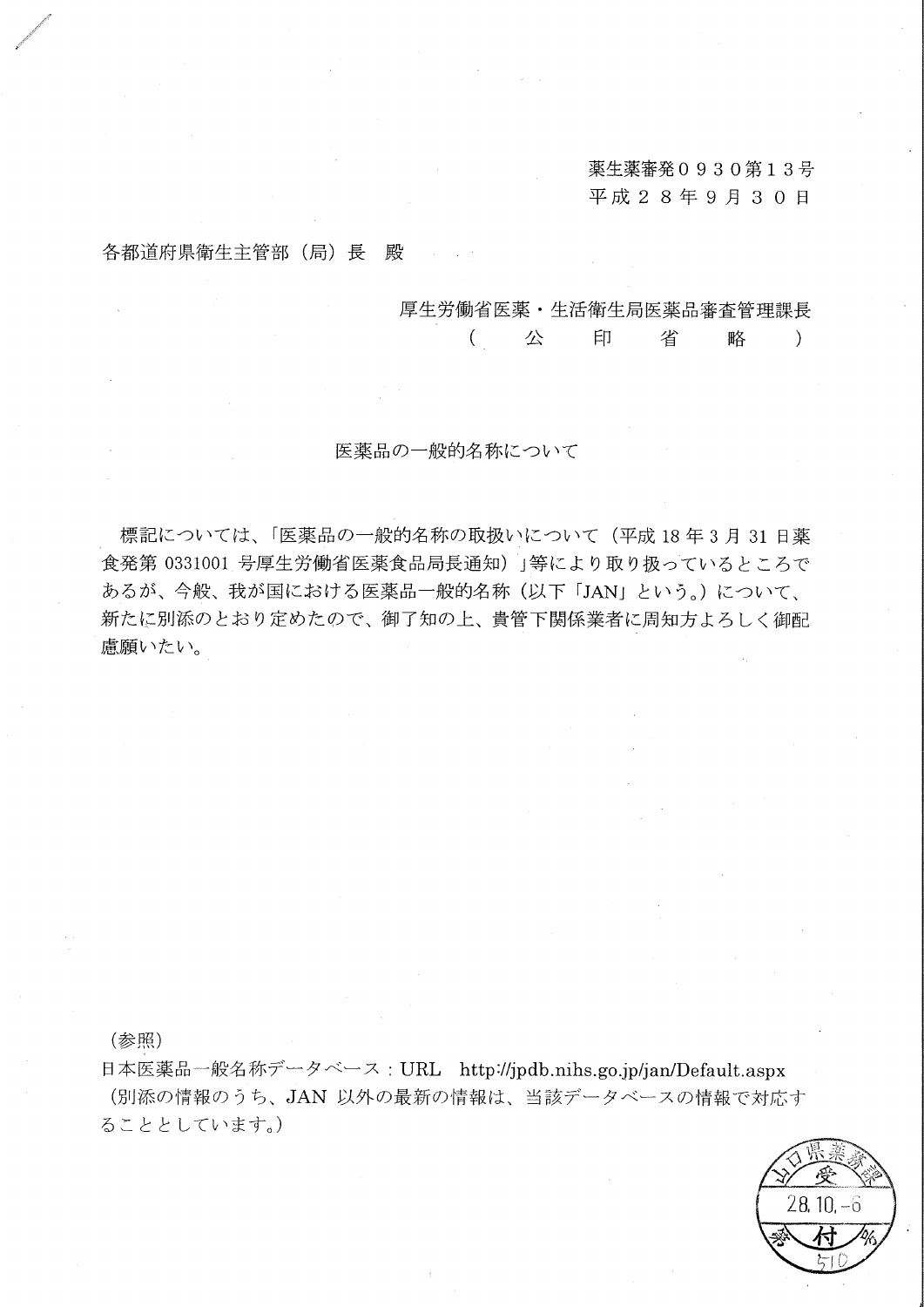薬生薬審発0930第13号 平成28年9月30日

各都道府県衛生主管部 (局) 長 殿

厚生労働省医薬・生活衛生局医薬品審査管理課長

 $\left($ 公 印 省 略  $\lambda$ 

医薬品の一般的名称について

標記については、「医薬品の一般的名称の取扱いについて(平成18年3月31日薬 食発第 0331001 号厚生労働省医薬食品局長通知) 」等により取り扱っているところで あるが、今般、我が国における医薬品一般的名称(以下「JAN」という。)について、 新たに別添のとおり定めたので、御了知の上、貴管下関係業者に周知方よろしく御配 慮願いたい。

(参照)

日本医薬品一般名称データベース: URL http://jpdb.nihs.go.jp/jan/Default.aspx (別添の情報のうち、JAN 以外の最新の情報は、当該データベースの情報で対応す ることとしています。)

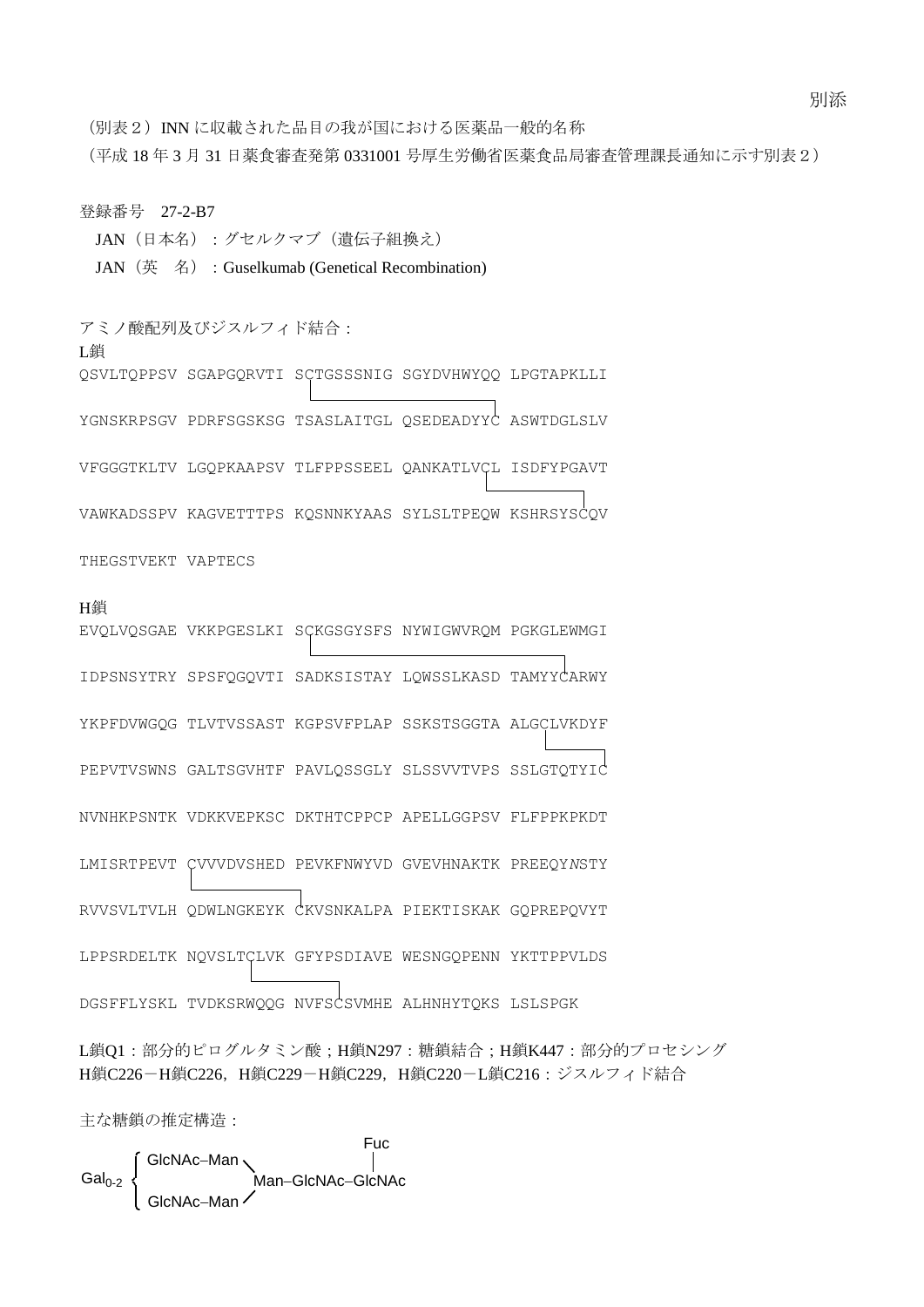別添

(別表2) INN に収載された品目の我が国における医薬品一般的名称

(平成 18 年 3 月 31 日薬食審査発第 0331001 号厚生労働省医薬食品局審査管理課長通知に示す別表2)

登録番号 27-2-B7

JAN(日本名):グセルクマブ(遺伝子組換え)

JAN (英 名) : Guselkumab (Genetical Recombination)

アミノ酸配列及びジスルフィド結合: L鎖

QSVLTQPPSV SGAPGQRVTI SCTGSSSNIG SGYDVHWYQQ LPGTAPKLLI

YGNSKRPSGV PDRFSGSKSG TSASLAITGL QSEDEADYYC ASWTDGLSLV

VFGGGTKLTV LGQPKAAPSV TLFPPSSEEL QANKATLVCL ISDFYPGAVT

VAWKADSSPV KAGVETTTPS KQSNNKYAAS SYLSLTPEQW KSHRSYSCQV

THEGSTVEKT VAPTECS

# H鎖

EVQLVQSGAE VKKPGESLKI SCKGSGYSFS NYWIGWVRQM PGKGLEWMGI IDPSNSYTRY SPSFQGQVTI SADKSISTAY LQWSSLKASD TAMYYCARWY YKPFDVWGQG TLVTVSSAST KGPSVFPLAP SSKSTSGGTA ALGCLVKDYF PEPVTVSWNS GALTSGVHTF PAVLQSSGLY SLSSVVTVPS SSLGTQTYIC NVNHKPSNTK VDKKVEPKSC DKTHTCPPCP APELLGGPSV FLFPPKPKDT LMISRTPEVT CVVVDVSHED PEVKFNWYVD GVEVHNAKTK PREEQY*N*STY RVVSVLTVLH QDWLNGKEYK CKVSNKALPA PIEKTISKAK GQPREPQVYT LPPSRDELTK NQVSLTCLVK GFYPSDIAVE WESNGQPENN YKTTPPVLDS DGSFFLYSKL TVDKSRWQQG NVFSCSVMHE ALHNHYTQKS LSLSPGK

L鎖Q1:部分的ピログルタミン酸;H鎖N297:糖鎖結合;H鎖K447:部分的プロセシング H鎖C226-H鎖C226, H鎖C229-H鎖C229, H鎖C220-L鎖C216: ジスルフィド結合

主な糖鎖の推定構造:

Fuc  $\overline{1}$ GlcNAc-Man **Man-GlcNAc-GlcNAc** GlcNAc-Man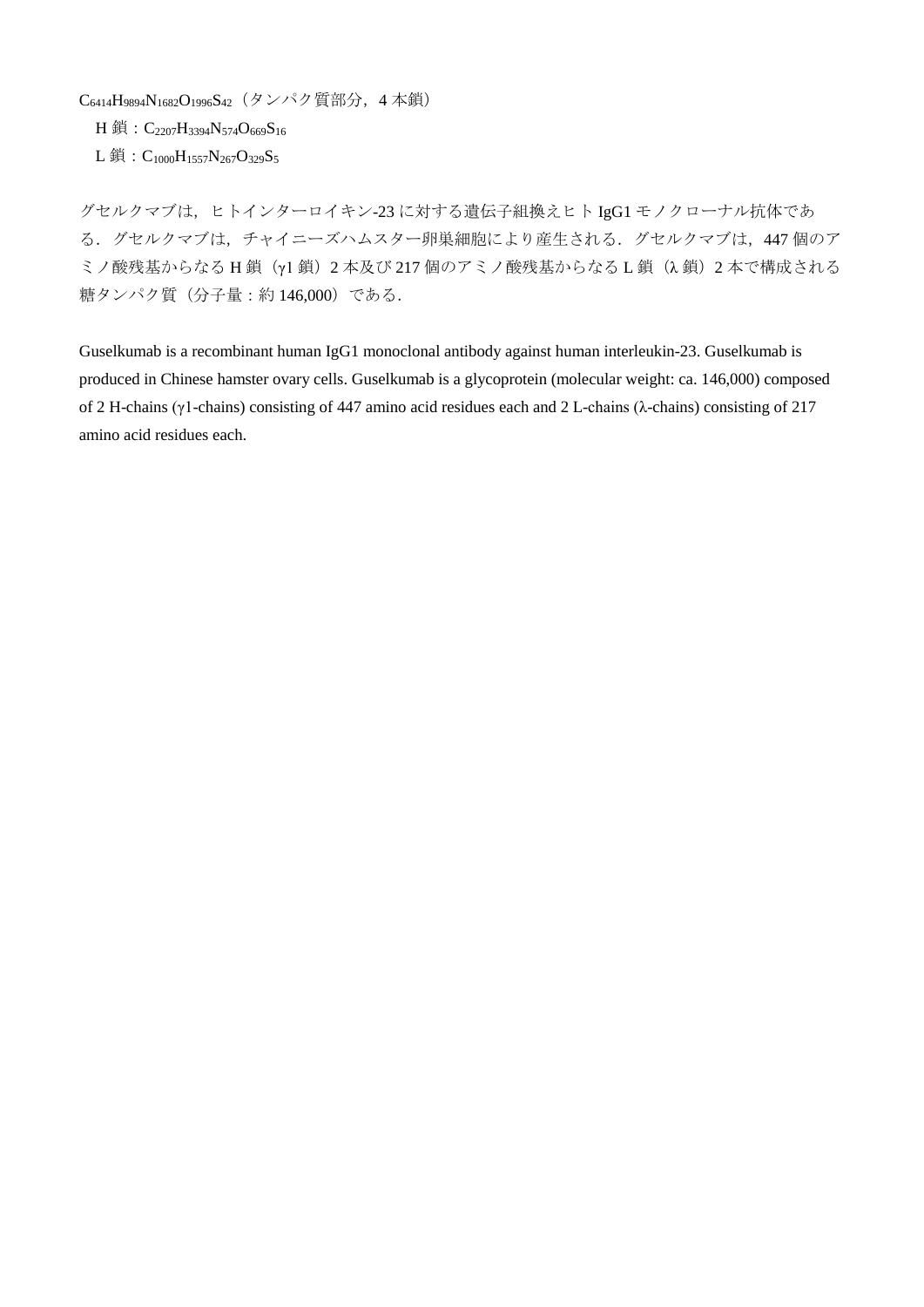C6414H9894N1682O1996S42(タンパク質部分,4 本鎖)

H 鎖: C<sub>2207</sub>H<sub>3394</sub>N<sub>574</sub>O<sub>669</sub>S<sub>16</sub>

 $L$  鎖:  $C_{1000}H_{1557}N_{267}O_{329}S_5$ 

グセルクマブは、ヒトインターロイキン-23 に対する遺伝子組換えヒト IgG1 モノクローナル抗体であ る. グセルクマブは、チャイニーズハムスター卵巣細胞により産生される. グセルクマブは、447 個のア ミノ酸残基からなる H鎖(y1鎖)2 本及び 217 個のアミノ酸残基からなる L 鎖(λ鎖)2 本で構成される 糖タンパク質(分子量:約 146,000)である.

Guselkumab is a recombinant human IgG1 monoclonal antibody against human interleukin-23. Guselkumab is produced in Chinese hamster ovary cells. Guselkumab is a glycoprotein (molecular weight: ca. 146,000) composed of 2 H-chains (γ1-chains) consisting of 447 amino acid residues each and 2 L-chains (λ-chains) consisting of 217 amino acid residues each.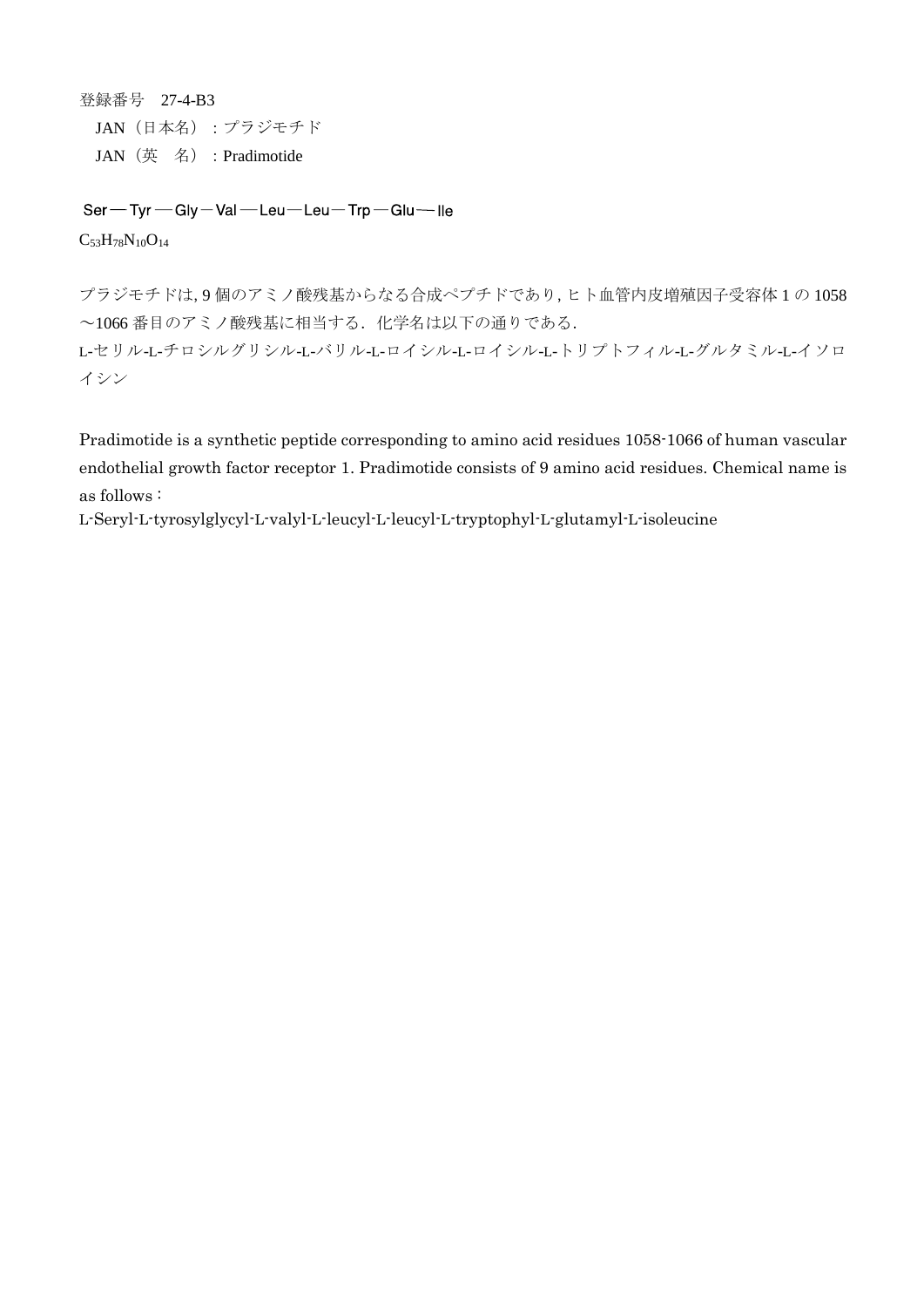登録番号 27-4-B3 JAN(日本名):プラジモチド JAN(英 名):Pradimotide

Ser-Tyr-Gly-Val-Leu-Leu-Trp-Glu-Ile  $C_{53}H_{78}N_{10}O_{14}$ 

プラジモチドは,9 個のアミノ酸残基からなる合成ペプチドであり,ヒト血管内皮増殖因子受容体 1 の 1058  $\sim$ 1066番目のアミノ酸残基に相当する. 化学名は以下の通りである. L-セリル-L-チロシルグリシル-L-バリル-L-ロイシル-L-ロイシル-L-トリプトフィル-L-グルタミル-L-イソロ イシン

Pradimotide is a synthetic peptide corresponding to amino acid residues 1058-1066 of human vascular endothelial growth factor receptor 1. Pradimotide consists of 9 amino acid residues. Chemical name is as follows :

L-Seryl-L-tyrosylglycyl-L-valyl-L-leucyl-L-leucyl-L-tryptophyl-L-glutamyl-L-isoleucine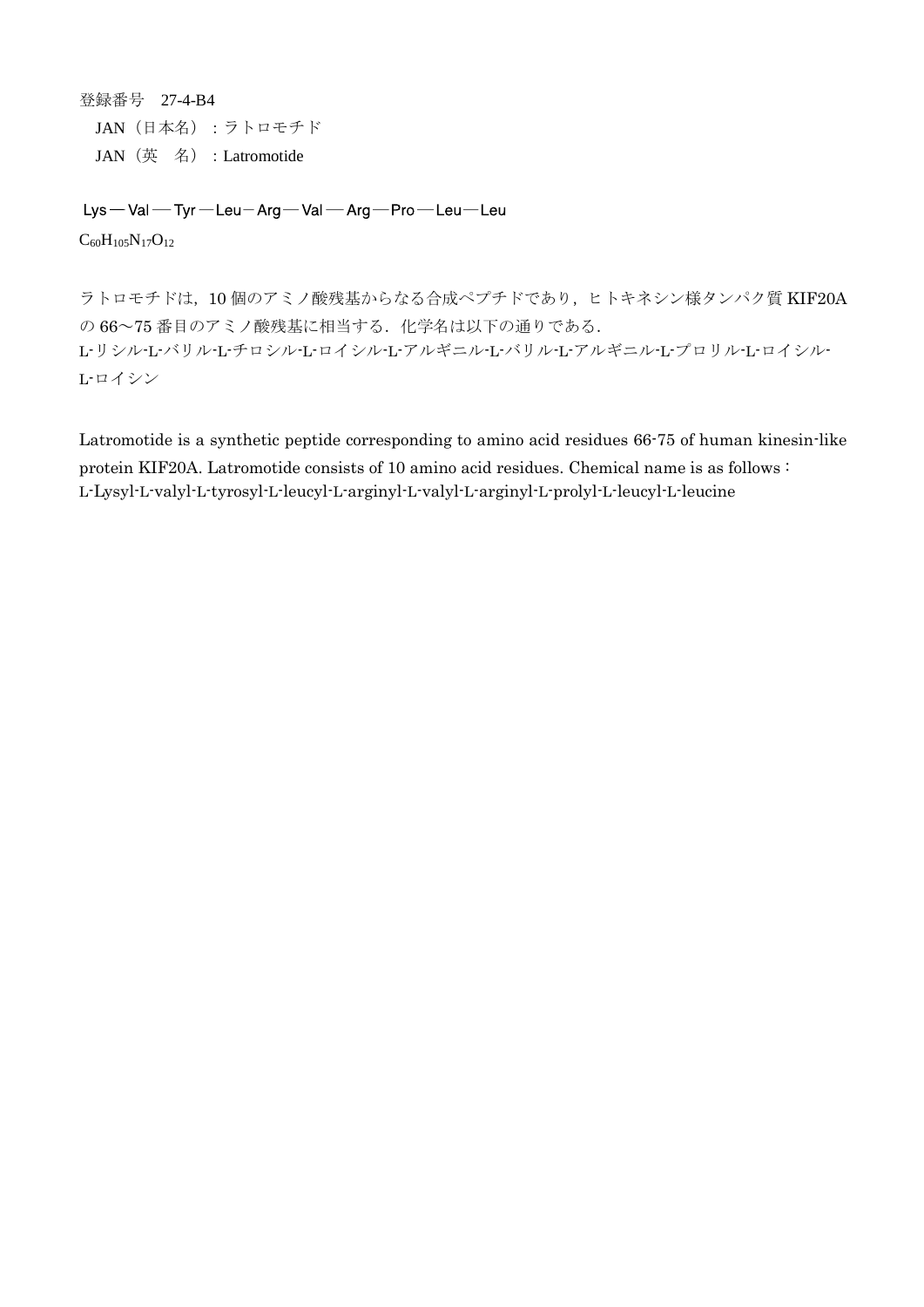登録番号 27-4-B4 JAN(日本名):ラトロモチド JAN(英 名):Latromotide

Lys-Val-Tyr-Leu-Arg-Val-Arg-Pro-Leu-Leu  $C_{60}H_{105}N_{17}O_{12}$ 

ラトロモチドは,10 個のアミノ酸残基からなる合成ペプチドであり,ヒトキネシン様タンパク質 KIF20A の 66~75番目のアミノ酸残基に相当する. 化学名は以下の通りである. L-リシル-L-バリル-L-チロシル-L-ロイシル-L-アルギニル-L-バリル-L-アルギニル-L-プロリル-L-ロイシル-L-ロイシン

Latromotide is a synthetic peptide corresponding to amino acid residues 66-75 of human kinesin-like protein KIF20A. Latromotide consists of 10 amino acid residues. Chemical name is as follows : L-Lysyl-L-valyl-L-tyrosyl-L-leucyl-L-arginyl-L-valyl-L-arginyl-L-prolyl-L-leucyl-L-leucine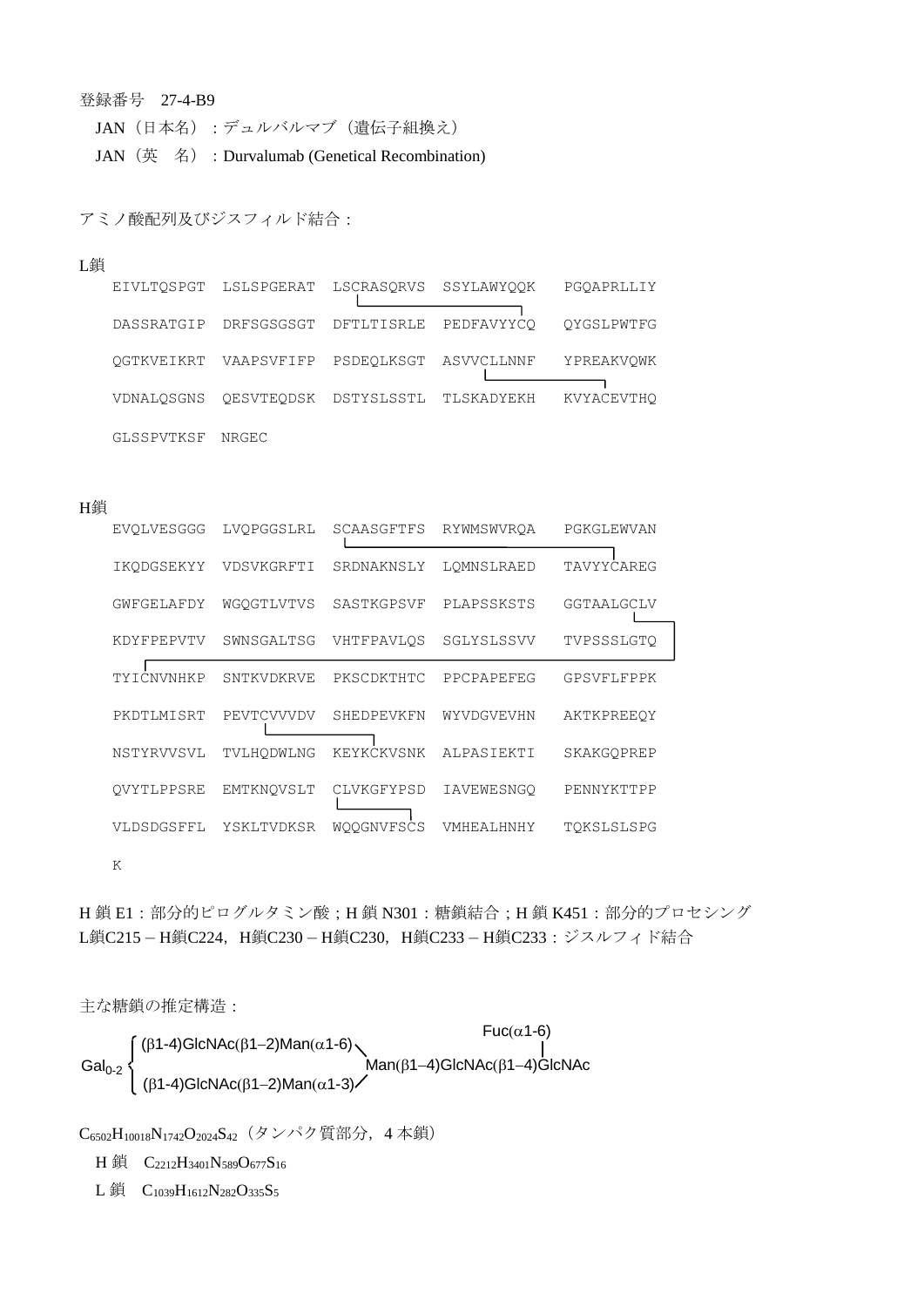### 登録番号 27-4-B9

JAN (日本名):デュルバルマブ (遺伝子組換え) JAN (英名): Durvalumab (Genetical Recombination)

アミノ酸配列及びジスフィルド結合:

#### L鎖

| EIVLTOSPGT | LSLSPGERAT            | LSCRASORVS | SSYLAWYOOK | PGOAPRLLIY |
|------------|-----------------------|------------|------------|------------|
| DASSRATGIP | DRFSGSGSGT            | DFTLTISRLE | PEDFAVYYCO | OYGSLPWTFG |
|            | OGTKVEIKRT VAAPSVFIFP | PSDEOLKSGT | ASVVCLLNNF | YPREAKVOWK |
| VDNALOSGNS | OESVTEODSK            | DSTYSLSSTL | TLSKADYEKH | KVYACEVTHO |
| GLSSPVTKSF | NRGEC                 |            |            |            |

#### H鎖

| <b>EVOLVESGGG</b> | LVOPGGSLRL | SCAASGFTFS        | RYWMSWVROA | PGKGLEWVAN |
|-------------------|------------|-------------------|------------|------------|
| IKODGSEKYY        | VDSVKGRFTI | SRDNAKNSLY        | LOMNSLRAED | TAVYYCAREG |
| GWFGELAFDY        | WGOGTLVTVS | SASTKGPSVF        | PLAPSSKSTS | GGTAALGCLV |
| KDYFPEPVTV        | SWNSGALTSG | VHTFPAVLOS        | SGLYSLSSVV | TVPSSSLGTO |
| TYICNVNHKP        | SNTKVDKRVE | PKSCDKTHTC        | PPCPAPEFEG | GPSVFLFPPK |
| PKDTLMISRT        | PEVTCVVVDV | SHEDPEVKFN        | WYVDGVEVHN | AKTKPREEOY |
| NSTYRVVSVL        | TVLHODWLNG | KEYKCKVSNK        | ALPASIEKTI | SKAKGOPREP |
| OVYTLPPSRE        | EMTKNOVSLT | CLVKGFYPSD        | IAVEWESNGO | PENNYKTTPP |
| VLDSDGSFFL        | YSKLTVDKSR | <b>WOOGNVFSCS</b> | VMHEALHNHY | TOKSLSLSPG |

K

H鎖 E1: 部分的ピログルタミン酸; H鎖 N301: 糖鎖結合; H鎖 K451: 部分的プロセシング L鎖C215-H鎖C224, H鎖C230-H鎖C230, H鎖C233-H鎖C233:ジスルフィド結合

主な糖鎖の推定構造:

$$
\text{Gal}_{0\text{-}2}\left\{\begin{array}{l}(\beta 1\text{-}4)\text{GlcNAc}(\beta 1\text{-}2)\text{Man}(\alpha 1\text{-}6)\\|\beta 1\text{-}4)\text{GlcNAc}(\beta 1\text{-}2)\text{Man}(\alpha 1\text{-}3)\end{array}\right.\text{Nan}(\beta 1\text{-}4)\text{GlcNAc}(\beta 1\text{-}4)\text{GlcNAc}
$$

 $C_{6502}H_{10018}N_{1742}O_{2024}S_{42}$  (タンパク質部分, 4本鎖)

H 鎖 C<sub>2212</sub>H<sub>3401</sub>N<sub>589</sub>O<sub>677</sub>S<sub>16</sub>

L鎖  $C_{1039}H_{1612}N_{282}O_{335}S_5$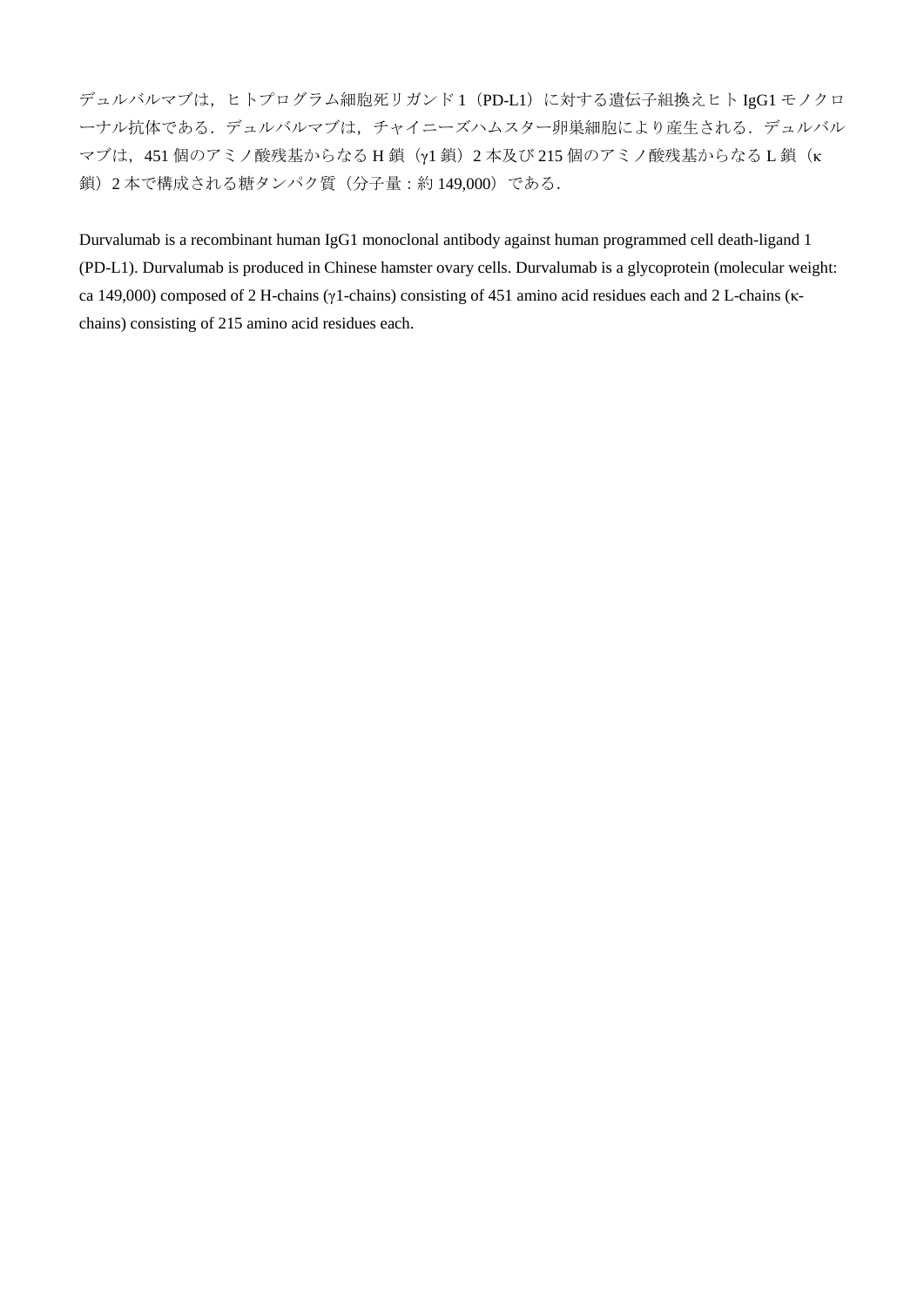デュルバルマブは、ヒトプログラム細胞死リガンド1 (PD-L1)に対する遺伝子組換えヒト IgG1 モノクロ ーナル抗体である.デュルバルマブは,チャイニーズハムスター卵巣細胞により産生される.デュルバル マブは, 451 個のアミノ酸残基からなる H 鎖 (γ1 鎖) 2 本及び 215 個のアミノ酸残基からなる L 鎖(κ 鎖)2 本で構成される糖タンパク質(分子量:約 149,000)である.

Durvalumab is a recombinant human IgG1 monoclonal antibody against human programmed cell death-ligand 1 (PD-L1). Durvalumab is produced in Chinese hamster ovary cells. Durvalumab is a glycoprotein (molecular weight: ca 149,000) composed of 2 H-chains (γ1-chains) consisting of 451 amino acid residues each and 2 L-chains (κchains) consisting of 215 amino acid residues each.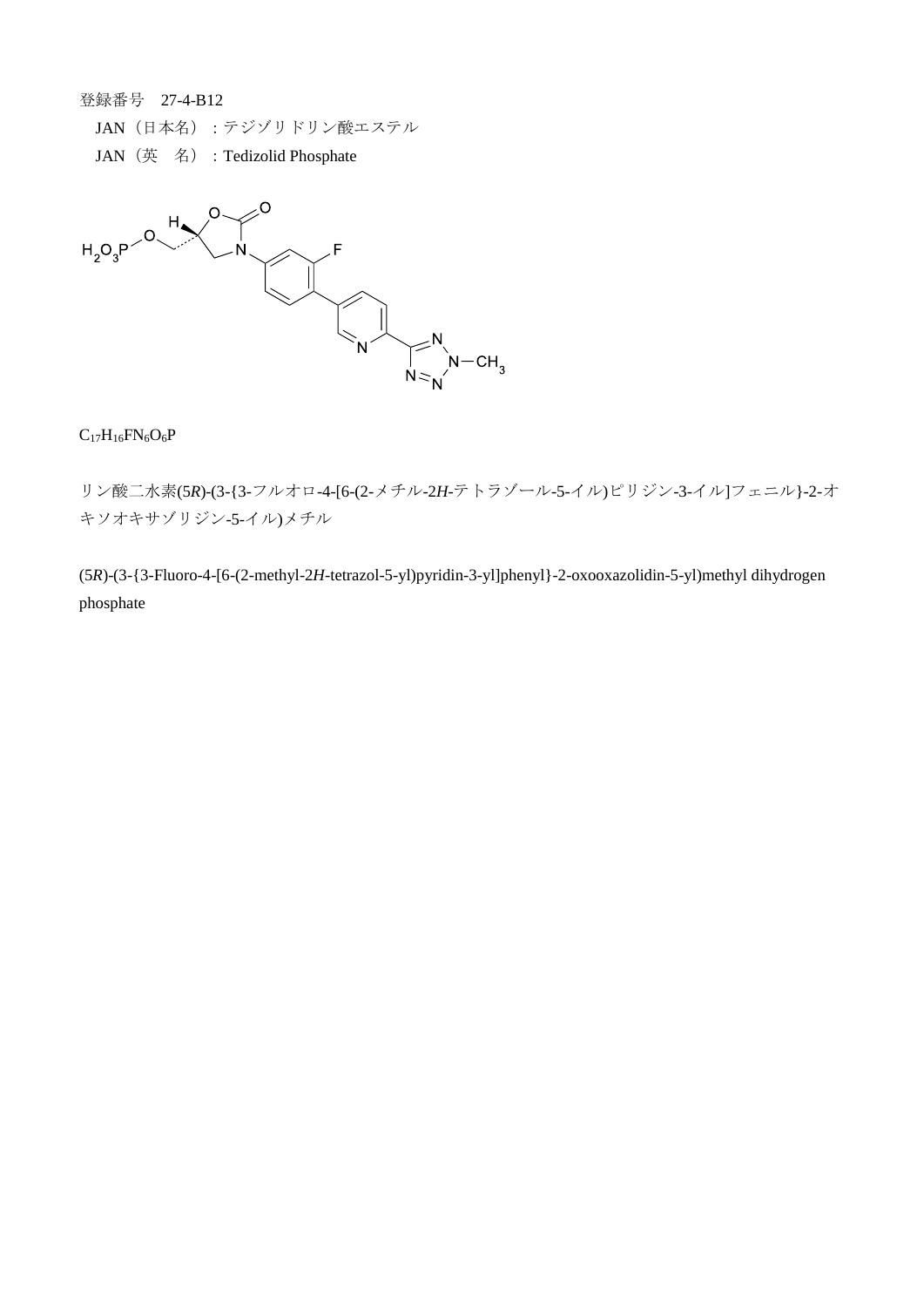登録番号 27-4-B12

JAN(日本名):テジゾリドリン酸エステル

JAN (英名): Tedizolid Phosphate



# $C_{17}H_{16}FN_{6}O_{6}P$

リン酸二水素(5*R*)-(3-{3-フルオロ-4-[6-(2-メチル-2*H*-テトラゾール-5-イル)ピリジン-3-イル]フェニル}-2-オ キソオキサゾリジン-5-イル)メチル

(5*R*)-(3-{3-Fluoro-4-[6-(2-methyl-2*H*-tetrazol-5-yl)pyridin-3-yl]phenyl}-2-oxooxazolidin-5-yl)methyl dihydrogen phosphate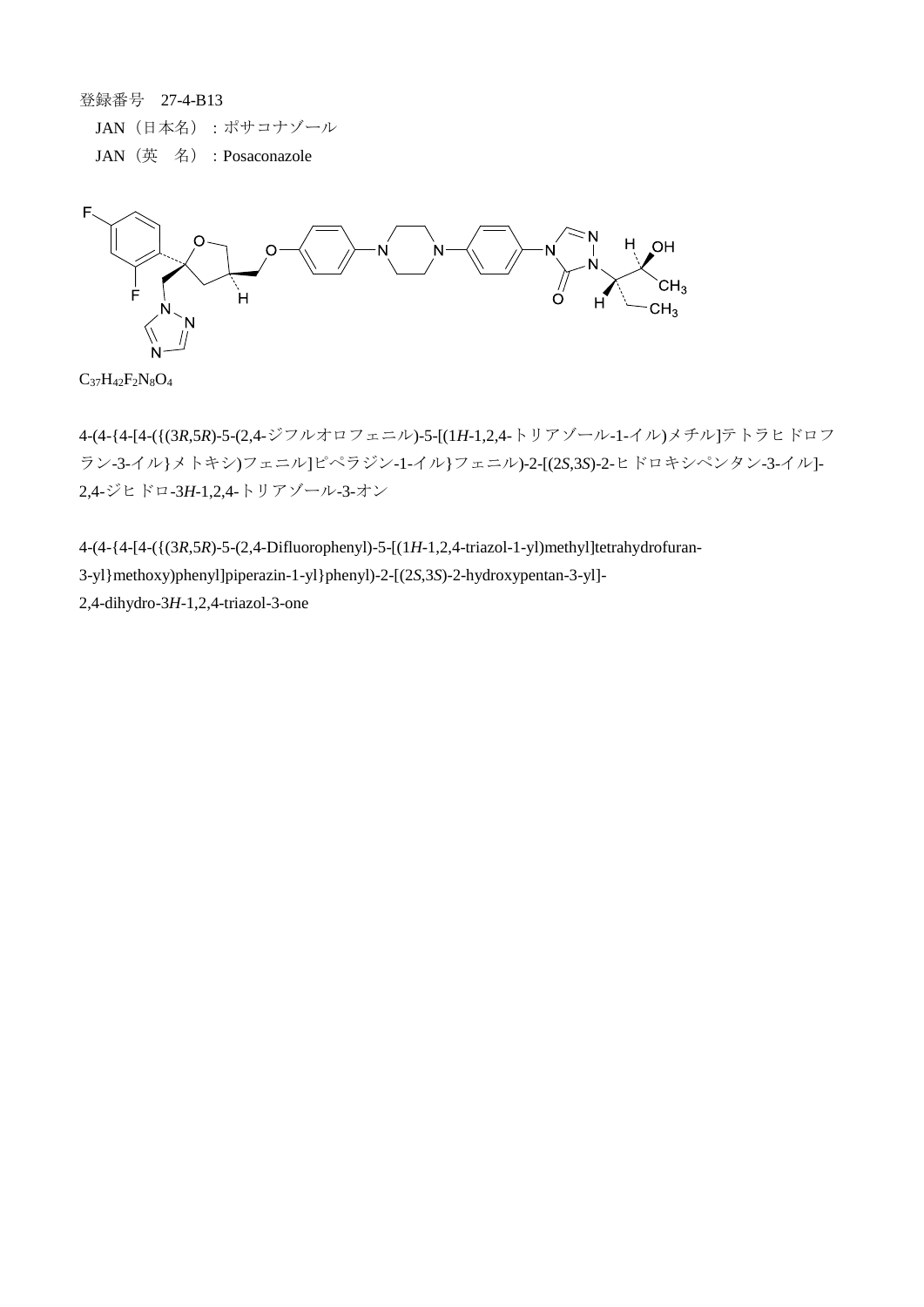登録番号 27-4-B13 JAN(日本名):ポサコナゾール JAN(英 名):Posaconazole



 $C_{37}H_{42}F_{2}N_{8}O_{4}$ 

4-(4-{4-[4-({(3*R*,5*R*)-5-(2,4-ジフルオロフェニル)-5-[(1*H*-1,2,4-トリアゾール-1-イル)メチル]テトラヒドロフ ラン-3-イル}メトキシ)フェニル]ピペラジン-1-イル}フェニル)-2-[(2*S*,3*S*)-2-ヒドロキシペンタン-3-イル]- 2,4-ジヒドロ-3*H*-1,2,4-トリアゾール-3-オン

4-(4-{4-[4-({(3*R*,5*R*)-5-(2,4-Difluorophenyl)-5-[(1*H*-1,2,4-triazol-1-yl)methyl]tetrahydrofuran-3-yl}methoxy)phenyl]piperazin-1-yl}phenyl)-2-[(2*S*,3*S*)-2-hydroxypentan-3-yl]- 2,4-dihydro-3*H*-1,2,4-triazol-3-one